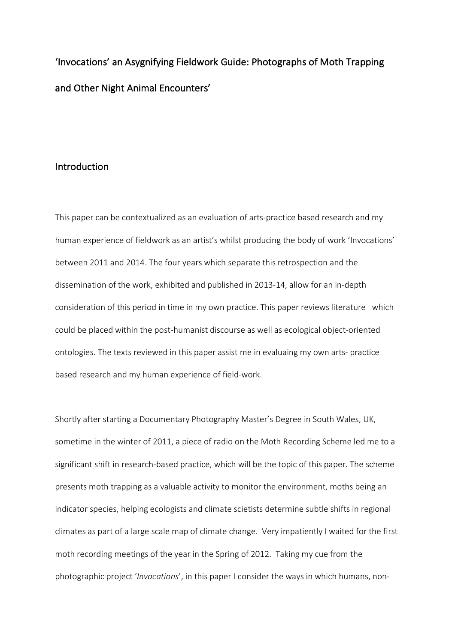'Invocations' an Asygnifying Fieldwork Guide: Photographs of Moth Trapping and Other Night Animal Encounters'

## Introduction

This paper can be contextualized as an evaluation of arts-practice based research and my human experience of fieldwork as an artist's whilst producing the body of work 'Invocations' between 2011 and 2014. The four years which separate this retrospection and the dissemination of the work, exhibited and published in 2013-14, allow for an in-depth consideration of this period in time in my own practice. This paper reviews literature which could be placed within the post-humanist discourse as well as ecological object-oriented ontologies. The texts reviewed in this paper assist me in evaluaing my own arts- practice based research and my human experience of field-work.

Shortly after starting a Documentary Photography Master's Degree in South Wales, UK, sometime in the winter of 2011, a piece of radio on the Moth Recording Scheme led me to a significant shift in research-based practice, which will be the topic of this paper. The scheme presents moth trapping as a valuable activity to monitor the environment, moths being an indicator species, helping ecologists and climate scietists determine subtle shifts in regional climates as part of a large scale map of climate change. Very impatiently I waited for the first moth recording meetings of the year in the Spring of 2012. Taking my cue from the photographic project '*Invocations*', in this paper I consider the ways in which humans, non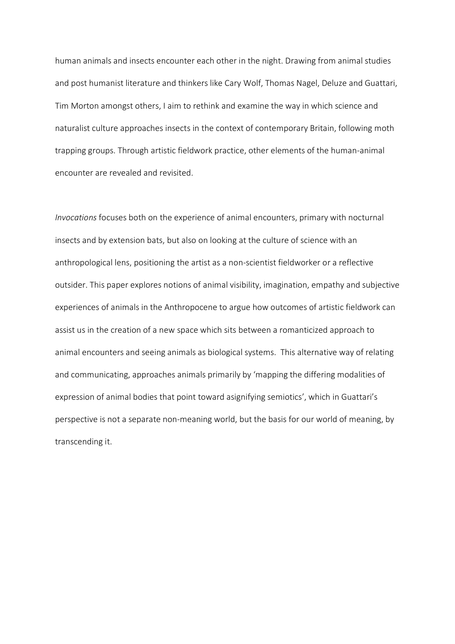human animals and insects encounter each other in the night. Drawing from animal studies and post humanist literature and thinkers like Cary Wolf, Thomas Nagel, Deluze and Guattari, Tim Morton amongst others, I aim to rethink and examine the way in which science and naturalist culture approaches insects in the context of contemporary Britain, following moth trapping groups. Through artistic fieldwork practice, other elements of the human-animal encounter are revealed and revisited.

*Invocations* focuses both on the experience of animal encounters, primary with nocturnal insects and by extension bats, but also on looking at the culture of science with an anthropological lens, positioning the artist as a non-scientist fieldworker or a reflective outsider. This paper explores notions of animal visibility, imagination, empathy and subjective experiences of animals in the Anthropocene to argue how outcomes of artistic fieldwork can assist us in the creation of a new space which sits between a romanticized approach to animal encounters and seeing animals as biological systems. This alternative way of relating and communicating, approaches animals primarily by 'mapping the differing modalities of expression of animal bodies that point toward asignifying semiotics', which in Guattari's perspective is not a separate non-meaning world, but the basis for our world of meaning, by transcending it.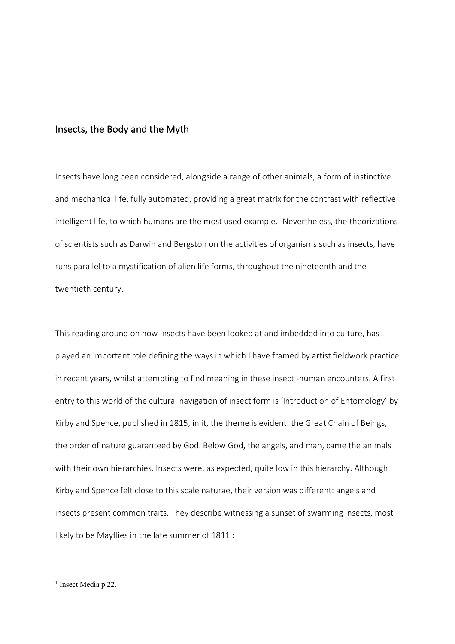## Insects, the Body and the Myth

Insects have long been considered, alongside a range of other animals, a form of instinctive and mechanical life, fully automated, providing a great matrix for the contrast with reflective intelligent life, to which humans are the most used example.<sup>1</sup> Nevertheless, the theorizations of scientists such as Darwin and Bergston on the activities of organisms such as insects, have runs parallel to a mystification of alien life forms, throughout the nineteenth and the twentieth century.

This reading around on how insects have been looked at and imbedded into culture, has played an important role defining the ways in which I have framed by artist fieldwork practice in recent years, whilst attempting to find meaning in these insect -human encounters. A first entry to this world of the cultural navigation of insect form is 'Introduction of Entomology' by Kirby and Spence, published in 1815, in it, the theme is evident: the Great Chain of Beings, the order of nature guaranteed by God. Below God, the angels, and man, came the animals with their own hierarchies. Insects were, as expected, quite low in this hierarchy. Although Kirby and Spence felt close to this scale naturae, their version was different: angels and insects present common traits. They describe witnessing a sunset of swarming insects, most likely to be Mayflies in the late summer of 1811 :

<sup>&</sup>lt;sup>1</sup> Insect Media p 22.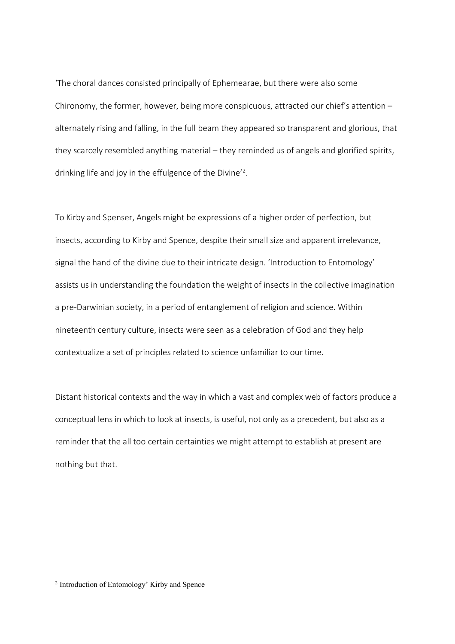'The choral dances consisted principally of Ephemearae, but there were also some Chironomy, the former, however, being more conspicuous, attracted our chief's attention – alternately rising and falling, in the full beam they appeared so transparent and glorious, that they scarcely resembled anything material – they reminded us of angels and glorified spirits, drinking life and joy in the effulgence of the Divine'2.

To Kirby and Spenser, Angels might be expressions of a higher order of perfection, but insects, according to Kirby and Spence, despite their small size and apparent irrelevance, signal the hand of the divine due to their intricate design. 'Introduction to Entomology' assists us in understanding the foundation the weight of insects in the collective imagination a pre-Darwinian society, in a period of entanglement of religion and science. Within nineteenth century culture, insects were seen as a celebration of God and they help contextualize a set of principles related to science unfamiliar to our time.

Distant historical contexts and the way in which a vast and complex web of factors produce a conceptual lens in which to look at insects, is useful, not only as a precedent, but also as a reminder that the all too certain certainties we might attempt to establish at present are nothing but that.

 <sup>2</sup> Introduction of Entomology' Kirby and Spence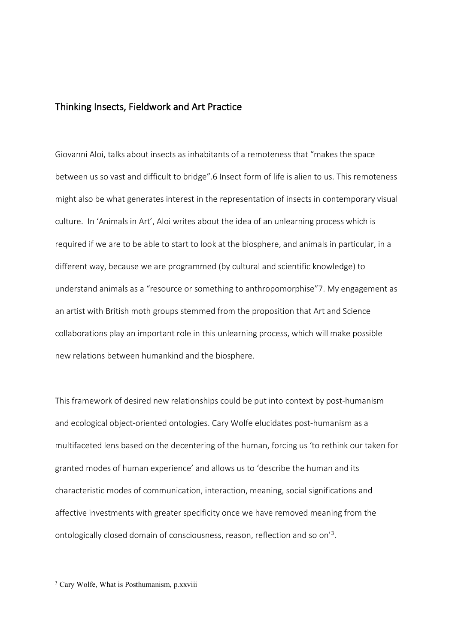## Thinking Insects, Fieldwork and Art Practice

Giovanni Aloi, talks about insects as inhabitants of a remoteness that "makes the space between us so vast and difficult to bridge".6 Insect form of life is alien to us. This remoteness might also be what generates interest in the representation of insects in contemporary visual culture. In 'Animals in Art', Aloi writes about the idea of an unlearning process which is required if we are to be able to start to look at the biosphere, and animals in particular, in a different way, because we are programmed (by cultural and scientific knowledge) to understand animals as a "resource or something to anthropomorphise"7. My engagement as an artist with British moth groups stemmed from the proposition that Art and Science collaborations play an important role in this unlearning process, which will make possible new relations between humankind and the biosphere.

This framework of desired new relationships could be put into context by post-humanism and ecological object-oriented ontologies. Cary Wolfe elucidates post-humanism as a multifaceted lens based on the decentering of the human, forcing us 'to rethink our taken for granted modes of human experience' and allows us to 'describe the human and its characteristic modes of communication, interaction, meaning, social significations and affective investments with greater specificity once we have removed meaning from the ontologically closed domain of consciousness, reason, reflection and so on'<sup>3</sup>.

<sup>&</sup>lt;sup>3</sup> Cary Wolfe, What is Posthumanism, p.xxviii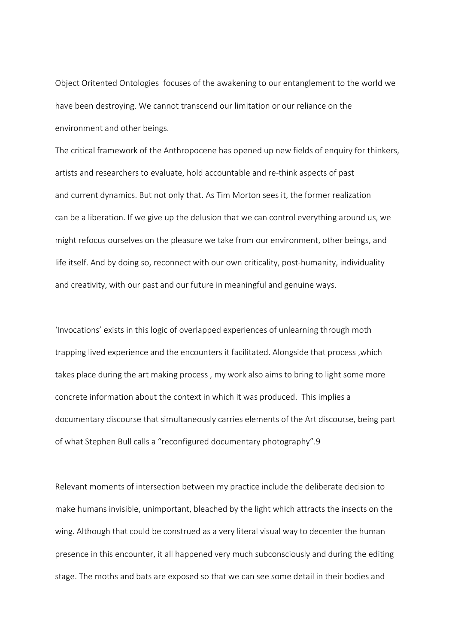Object Oritented Ontologies focuses of the awakening to our entanglement to the world we have been destroying. We cannot transcend our limitation or our reliance on the environment and other beings.

The critical framework of the Anthropocene has opened up new fields of enquiry for thinkers, artists and researchers to evaluate, hold accountable and re-think aspects of past and current dynamics. But not only that. As Tim Morton sees it, the former realization can be a liberation. If we give up the delusion that we can control everything around us, we might refocus ourselves on the pleasure we take from our environment, other beings, and life itself. And by doing so, reconnect with our own criticality, post-humanity, individuality and creativity, with our past and our future in meaningful and genuine ways.

'Invocations' exists in this logic of overlapped experiences of unlearning through moth trapping lived experience and the encounters it facilitated. Alongside that process ,which takes place during the art making process , my work also aims to bring to light some more concrete information about the context in which it was produced. This implies a documentary discourse that simultaneously carries elements of the Art discourse, being part of what Stephen Bull calls a "reconfigured documentary photography".9

Relevant moments of intersection between my practice include the deliberate decision to make humans invisible, unimportant, bleached by the light which attracts the insects on the wing. Although that could be construed as a very literal visual way to decenter the human presence in this encounter, it all happened very much subconsciously and during the editing stage. The moths and bats are exposed so that we can see some detail in their bodies and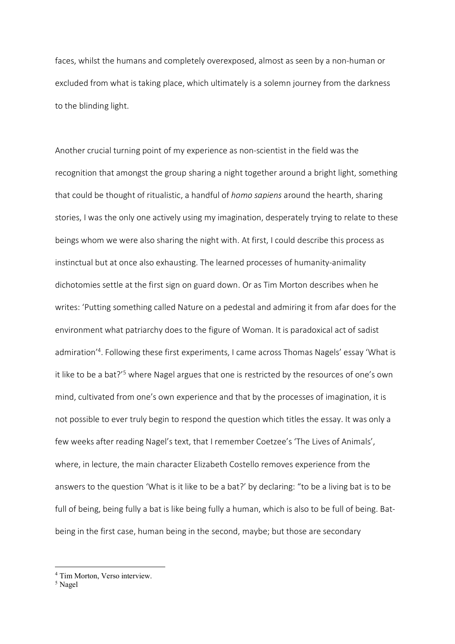faces, whilst the humans and completely overexposed, almost as seen by a non-human or excluded from what is taking place, which ultimately is a solemn journey from the darkness to the blinding light.

Another crucial turning point of my experience as non-scientist in the field was the recognition that amongst the group sharing a night together around a bright light, something that could be thought of ritualistic, a handful of *homo sapiens* around the hearth, sharing stories, I was the only one actively using my imagination, desperately trying to relate to these beings whom we were also sharing the night with. At first, I could describe this process as instinctual but at once also exhausting. The learned processes of humanity-animality dichotomies settle at the first sign on guard down. Or as Tim Morton describes when he writes: 'Putting something called Nature on a pedestal and admiring it from afar does for the environment what patriarchy does to the figure of Woman. It is paradoxical act of sadist admiration'4 . Following these first experiments, I came across Thomas Nagels' essay 'What is it like to be a bat?'<sup>5</sup> where Nagel argues that one is restricted by the resources of one's own mind, cultivated from one's own experience and that by the processes of imagination, it is not possible to ever truly begin to respond the question which titles the essay. It was only a few weeks after reading Nagel's text, that I remember Coetzee's 'The Lives of Animals', where, in lecture, the main character Elizabeth Costello removes experience from the answers to the question 'What is it like to be a bat?' by declaring: "to be a living bat is to be full of being, being fully a bat is like being fully a human, which is also to be full of being. Batbeing in the first case, human being in the second, maybe; but those are secondary

 <sup>4</sup> Tim Morton, Verso interview.

<sup>5</sup> Nagel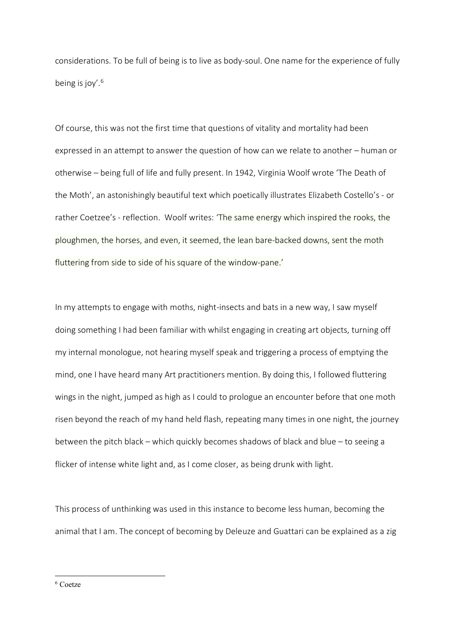considerations. To be full of being is to live as body-soul. One name for the experience of fully being is joy'. $6$ 

Of course, this was not the first time that questions of vitality and mortality had been expressed in an attempt to answer the question of how can we relate to another – human or otherwise – being full of life and fully present. In 1942, Virginia Woolf wrote 'The Death of the Moth', an astonishingly beautiful text which poetically illustrates Elizabeth Costello's - or rather Coetzee's - reflection. Woolf writes: 'The same energy which inspired the rooks, the ploughmen, the horses, and even, it seemed, the lean bare-backed downs, sent the moth fluttering from side to side of his square of the window-pane.'

In my attempts to engage with moths, night-insects and bats in a new way, I saw myself doing something I had been familiar with whilst engaging in creating art objects, turning off my internal monologue, not hearing myself speak and triggering a process of emptying the mind, one I have heard many Art practitioners mention. By doing this, I followed fluttering wings in the night, jumped as high as I could to prologue an encounter before that one moth risen beyond the reach of my hand held flash, repeating many times in one night, the journey between the pitch black – which quickly becomes shadows of black and blue – to seeing a flicker of intense white light and, as I come closer, as being drunk with light.

This process of unthinking was used in this instance to become less human, becoming the animal that I am. The concept of becoming by Deleuze and Guattari can be explained as a zig

6 Coetze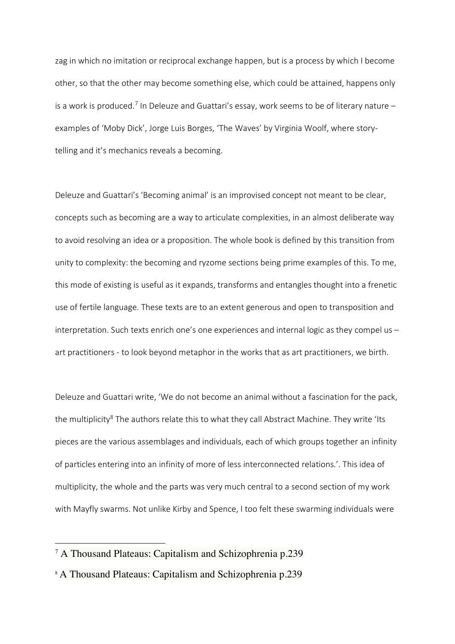zag in which no imitation or reciprocal exchange happen, but is a process by which I become other, so that the other may become something else, which could be attained, happens only is a work is produced.<sup>7</sup> In Deleuze and Guattari's essay, work seems to be of literary nature – examples of 'Moby Dick', Jorge Luis Borges, 'The Waves' by Virginia Woolf, where storytelling and it's mechanics reveals a becoming.

Deleuze and Guattari's 'Becoming animal' is an improvised concept not meant to be clear, concepts such as becoming are a way to articulate complexities, in an almost deliberate way to avoid resolving an idea or a proposition. The whole book is defined by this transition from unity to complexity: the becoming and ryzome sections being prime examples of this. To me, this mode of existing is useful as it expands, transforms and entangles thought into a frenetic use of fertile language. These texts are to an extent generous and open to transposition and interpretation. Such texts enrich one's one experiences and internal logic as they compel us – art practitioners - to look beyond metaphor in the works that as art practitioners, we birth.

Deleuze and Guattari write, 'We do not become an animal without a fascination for the pack, the multiplicity<sup>8</sup> The authors relate this to what they call Abstract Machine. They write 'Its pieces are the various assemblages and individuals, each of which groups together an infinity of particles entering into an infinity of more of less interconnected relations.'. This idea of multiplicity, the whole and the parts was very much central to a second section of my work with Mayfly swarms. Not unlike Kirby and Spence, I too felt these swarming individuals were

 <sup>7</sup> A Thousand Plateaus: Capitalism and Schizophrenia p.239

<sup>8</sup> A Thousand Plateaus: Capitalism and Schizophrenia p.239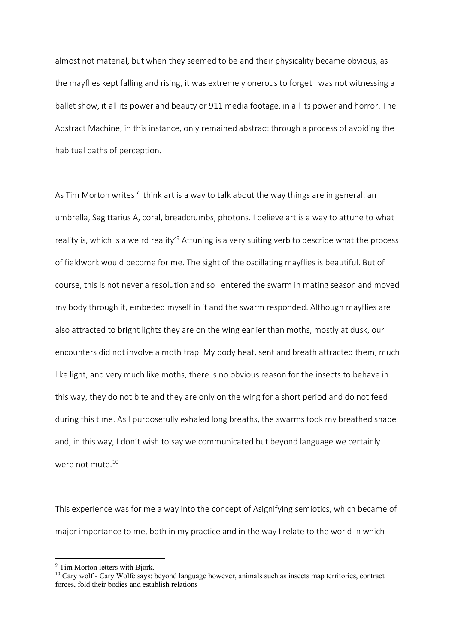almost not material, but when they seemed to be and their physicality became obvious, as the mayflies kept falling and rising, it was extremely onerous to forget I was not witnessing a ballet show, it all its power and beauty or 911 media footage, in all its power and horror. The Abstract Machine, in this instance, only remained abstract through a process of avoiding the habitual paths of perception.

As Tim Morton writes 'I think art is a way to talk about the way things are in general: an umbrella, Sagittarius A, coral, breadcrumbs, photons. I believe art is a way to attune to what reality is, which is a weird reality'9 Attuning is a very suiting verb to describe what the process of fieldwork would become for me. The sight of the oscillating mayflies is beautiful. But of course, this is not never a resolution and so I entered the swarm in mating season and moved my body through it, embeded myself in it and the swarm responded. Although mayflies are also attracted to bright lights they are on the wing earlier than moths, mostly at dusk, our encounters did not involve a moth trap. My body heat, sent and breath attracted them, much like light, and very much like moths, there is no obvious reason for the insects to behave in this way, they do not bite and they are only on the wing for a short period and do not feed during this time. As I purposefully exhaled long breaths, the swarms took my breathed shape and, in this way, I don't wish to say we communicated but beyond language we certainly were not mute.<sup>10</sup>

This experience was for me a way into the concept of Asignifying semiotics, which became of major importance to me, both in my practice and in the way I relate to the world in which I

 <sup>9</sup> Tim Morton letters with Bjork.

<sup>10</sup> Cary wolf - Cary Wolfe says: beyond language however, animals such as insects map territories, contract forces, fold their bodies and establish relations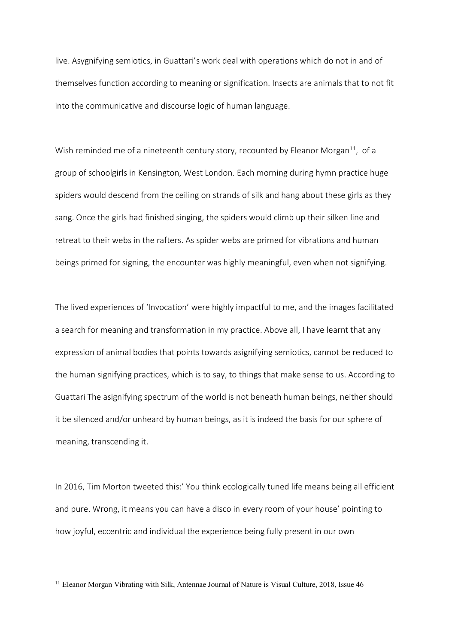live. Asygnifying semiotics, in Guattari's work deal with operations which do not in and of themselves function according to meaning or signification. Insects are animals that to not fit into the communicative and discourse logic of human language.

Wish reminded me of a nineteenth century story, recounted by Eleanor Morgan $^{11}$ , of a group of schoolgirls in Kensington, West London. Each morning during hymn practice huge spiders would descend from the ceiling on strands of silk and hang about these girls as they sang. Once the girls had finished singing, the spiders would climb up their silken line and retreat to their webs in the rafters. As spider webs are primed for vibrations and human beings primed for signing, the encounter was highly meaningful, even when not signifying.

The lived experiences of 'Invocation' were highly impactful to me, and the images facilitated a search for meaning and transformation in my practice. Above all, I have learnt that any expression of animal bodies that points towards asignifying semiotics, cannot be reduced to the human signifying practices, which is to say, to things that make sense to us. According to Guattari The asignifying spectrum of the world is not beneath human beings, neither should it be silenced and/or unheard by human beings, as it is indeed the basis for our sphere of meaning, transcending it.

In 2016, Tim Morton tweeted this:' You think ecologically tuned life means being all efficient and pure. Wrong, it means you can have a disco in every room of your house' pointing to how joyful, eccentric and individual the experience being fully present in our own

<sup>&</sup>lt;sup>11</sup> Eleanor Morgan Vibrating with Silk, Antennae Journal of Nature is Visual Culture, 2018, Issue 46